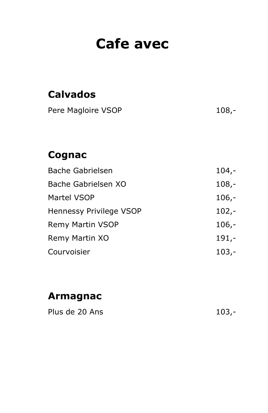# Cafe avec

| <b>Calvados</b>         |         |
|-------------------------|---------|
| Pere Magloire VSOP      | $108,-$ |
|                         |         |
|                         |         |
| Cognac                  |         |
| <b>Bache Gabrielsen</b> | $104,-$ |
| Bache Gabrielsen XO     | $108,-$ |
| Martel VSOP             | $106,-$ |
| Hennessy Privilege VSOP | $102,-$ |
| <b>Remy Martin VSOP</b> | $106,-$ |
| Remy Martin XO          | $191,-$ |
| Courvoisier             | 103,-   |

### Armagnac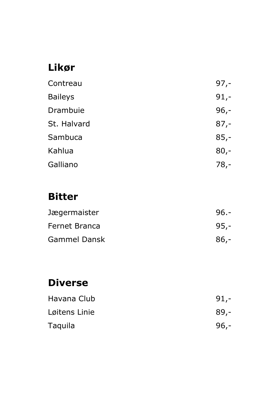## Likør

| Contreau       | $97,-$ |
|----------------|--------|
| <b>Baileys</b> | $91,-$ |
| Drambuie       | $96,-$ |
| St. Halvard    | $87,-$ |
| Sambuca        | $85,-$ |
| Kahlua         | $80,-$ |
| Galliano       | $78,-$ |

#### Bitter

| Jægermaister        | $96 -$ |
|---------------------|--------|
| Fernet Branca       | 95,-   |
| <b>Gammel Dansk</b> | $86,-$ |

## Diverse

| Havana Club   | $91,-$ |
|---------------|--------|
| Løitens Linie | $89,-$ |
| Taquila       | $96,-$ |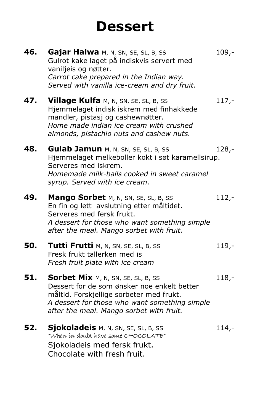# **Dessert**

| 46. | Gajar Halwa M, N, SN, SE, SL, B, SS<br>Gulrot kake laget på indiskvis servert med<br>vaniljeis og nøtter.<br>Carrot cake prepared in the Indian way.<br>Served with vanilla ice-cream and dry fruit.                       | $109,-$ |
|-----|----------------------------------------------------------------------------------------------------------------------------------------------------------------------------------------------------------------------------|---------|
| 47. | Village Kulfa M, N, SN, SE, SL, B, SS<br>Hjemmelaget indisk iskrem med finhakkede<br>mandler, pistasj og cashewnøtter.<br>Home made indian ice cream with crushed<br>almonds, pistachio nuts and cashew nuts.              | $117,-$ |
| 48. | <b>Gulab Jamun</b> M, N, SN, SE, SL, B, SS<br>Hjemmelaget melkeboller kokt i søt karamellsirup.<br>Serveres med iskrem.<br>Homemade milk-balls cooked in sweet caramel<br>syrup. Served with ice cream.                    | $128 -$ |
| 49. | Mango Sorbet M, N, SN, SE, SL, B, SS<br>En fin og lett avslutning etter måltidet.<br>Serveres med fersk frukt.<br>A dessert for those who want something simple<br>after the meal. Mango sorbet with fruit.                | $112,-$ |
| 50. | Tutti Frutti M, N, SN, SE, SL, B, SS<br>Fresk frukt tallerken med is<br>Fresh fruit plate with ice cream                                                                                                                   | $119,-$ |
| 51. | Sorbet Mix M, N, SN, SE, SL, B, SS<br>Dessert for de som ønsker noe enkelt better<br>måltid. Forskjellige sorbeter med frukt.<br>A dessert for those who want something simple<br>after the meal. Mango sorbet with fruit. | $118,-$ |
| 52. | Sjokoladeis M, N, SN, SE, SL, B, SS<br>"When in doubt have some CHOCOLATE"<br>Sjokoladeis med fersk frukt.<br>Chocolate with fresh fruit.                                                                                  | $114,-$ |